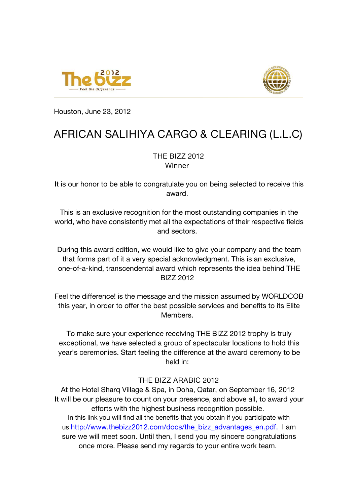



Houston, June 23, 2012

## **AFRICAN SALIHIYA CARGO & CLEARING (L.L.C)**

## **THE BIZZ 2012 Winner**

It is our honor to be able to congratulate you on being selected to receive this award.

This is an exclusive recognition for the most outstanding companies in the world, who have consistently met all the expectations of their respective fields and sectors.

During this award edition, we would like to give your company and the team that forms part of it a very special acknowledgment. This is an exclusive, one-of-a-kind, transcendental award which represents the idea behind THE BIZZ 2012

Feel the difference! is the message and the mission assumed by WORLDCOB this year, in order to offer the best possible services and benefits to its Elite Members.

To make sure your experience receiving THE BIZZ 2012 trophy is truly exceptional, we have selected a group of spectacular locations to hold this year's ceremonies. Start feeling the difference at the award ceremony to be held in:

## **THE BIZZ ARABIC 2012**

At the Hotel Sharq Village & Spa, in Doha, Qatar, on September 16, 2012 It will be our pleasure to count on your presence, and above all, to award your efforts with the highest business recognition possible. In this link you will find all the benefits that you obtain if you participate with us [http://www.thebizz2012.com/docs/the\\_bizz\\_advantages\\_en.pdf](http://www.thebizz2012.com/docs/the_bizz_advantages_en.pdf). I am sure we will meet soon. Until then, I send you my sincere congratulations once more. Please send my regards to your entire work team.